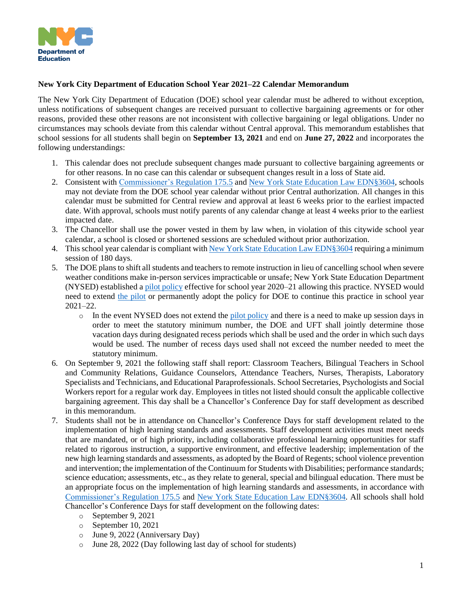

## **New York City Department of Education School Year 2021–22 Calendar Memorandum**

The New York City Department of Education (DOE) school year calendar must be adhered to without exception, unless notifications of subsequent changes are received pursuant to collective bargaining agreements or for other reasons, provided these other reasons are not inconsistent with collective bargaining or legal obligations. Under no circumstances may schools deviate from this calendar without Central approval. This memorandum establishes that school sessions for all students shall begin on **September 13, 2021** and end on **June 27, 2022** and incorporates the following understandings:

- 1. This calendar does not preclude subsequent changes made pursuant to collective bargaining agreements or for other reasons. In no case can this calendar or subsequent changes result in a loss of State aid.
- 2. Consistent with [Commissioner's](https://govt.westlaw.com/nycrr/Document/I09a7ee65c22211dda1bb852bdc84e3be?viewType=FullText&originationContext=documenttoc&transitionType=CategoryPageItem&contextData=(sc.Default)&bhcp=1) Regulation 175.5 and New York State Education Law [EDN§3604,](https://codes.findlaw.com/ny/education-law/edn-sect-3604.html#:~:text=8.,be%20conducted%20on%20a%20Saturday.) schools may not deviate from the DOE school year calendar without prior Central authorization. All changes in this calendar must be submitted for Central review and approval at least 6 weeks prior to the earliest impacted date. With approval, schools must notify parents of any calendar change at least 4 weeks prior to the earliest impacted date.
- 3. The Chancellor shall use the power vested in them by law when, in violation of this citywide school year calendar, a school is closed or shortened sessions are scheduled without prior authorization.
- 4. This school year calendar is compliant with New York State Education Law [EDN§3604](https://codes.findlaw.com/ny/education-law/edn-sect-3604.html#:~:text=8.,be%20conducted%20on%20a%20Saturday.) requiring a minimum session of 180 days.
- 5. The DOE plans to shift all students and teachers to remote instruction in lieu of cancelling school when severe weather conditions make in-person services impracticable or unsafe; New York State Education Department (NYSED) established a pilot [policy](http://www.p12.nysed.gov/sss/documents/1.6.21MemoSnowDayamendmentto155.17.pdf) effective for school year 2020–21 allowing this practice. NYSED would need to extend the [pilot](http://www.p12.nysed.gov/sss/documents/1.6.21MemoSnowDayamendmentto155.17.pdf) or permanently adopt the policy for DOE to continue this practice in school year 2021–22.
	- $\circ$  In the event NYSED does not extend the pilot [policy](http://www.p12.nysed.gov/sss/documents/1.6.21MemoSnowDayamendmentto155.17.pdf) and there is a need to make up session days in order to meet the statutory minimum number, the DOE and UFT shall jointly determine those vacation days during designated recess periods which shall be used and the order in which such days would be used. The number of recess days used shall not exceed the number needed to meet the statutory minimum.
- 6. On September 9, 2021 the following staff shall report: Classroom Teachers, Bilingual Teachers in School and Community Relations, Guidance Counselors, Attendance Teachers, Nurses, Therapists, Laboratory Specialists and Technicians, and Educational Paraprofessionals. School Secretaries, Psychologists and Social Workers report for a regular work day. Employees in titles not listed should consult the applicable collective bargaining agreement. This day shall be a Chancellor's Conference Day for staff development as described in this memorandum.
- 7. Students shall not be in attendance on Chancellor's Conference Days for staff development related to the implementation of high learning standards and assessments. Staff development activities must meet needs that are mandated, or of high priority, including collaborative professional learning opportunities for staff related to rigorous instruction, a supportive environment, and effective leadership; implementation of the new high learning standards and assessments, as adopted by the Board of Regents; school violence prevention and intervention; the implementation of the Continuum for Students with Disabilities; performance standards; science education; assessments, etc., as they relate to general, special and bilingual education. There must be an appropriate focus on the implementation of high learning standards and assessments, in accordance with [Commissioner's](https://govt.westlaw.com/nycrr/Document/I09a7ee65c22211dda1bb852bdc84e3be?viewType=FullText&originationContext=documenttoc&transitionType=CategoryPageItem&contextData=(sc.Default)&bhcp=1) Regulation 175.5 and New York State Education Law [EDN§3604.](https://codes.findlaw.com/ny/education-law/edn-sect-3604.html#:~:text=8.,be%20conducted%20on%20a%20Saturday.) All schools shall hold Chancellor's Conference Days for staff development on the following dates:
	- o September 9, 2021
	- o September 10, 2021
	- o June 9, 2022 (Anniversary Day)
	- o June 28, 2022 (Day following last day of school for students)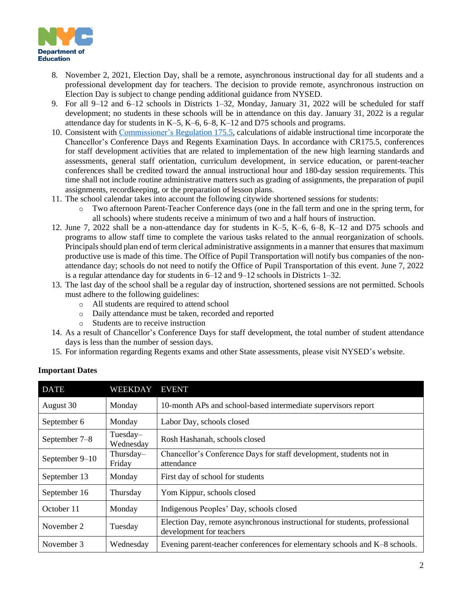

- 8. November 2, 2021, Election Day, shall be a remote, asynchronous instructional day for all students and a professional development day for teachers. The decision to provide remote, asynchronous instruction on Election Day is subject to change pending additional guidance from NYSED.
- 9. For all 9–12 and 6–12 schools in Districts 1–32, Monday, January 31, 2022 will be scheduled for staff development; no students in these schools will be in attendance on this day. January 31, 2022 is a regular attendance day for students in K–5, K–6, 6–8, K–12 and D75 schools and programs.
- 10. Consistent with [Commissioner's](https://govt.westlaw.com/nycrr/Document/I09a7ee65c22211dda1bb852bdc84e3be?viewType=FullText&originationContext=documenttoc&transitionType=CategoryPageItem&contextData=(sc.Default)&bhcp=1) Regulation 175.5, calculations of aidable instructional time incorporate the Chancellor's Conference Days and Regents Examination Days. In accordance with CR175.5, conferences for staff development activities that are related to implementation of the new high learning standards and assessments, general staff orientation, curriculum development, in service education, or parent-teacher conferences shall be credited toward the annual instructional hour and 180-day session requirements. This time shall not include routine administrative matters such as grading of assignments, the preparation of pupil assignments, recordkeeping, or the preparation of lesson plans.
- 11. The school calendar takes into account the following citywide shortened sessions for students:
	- o Two afternoon Parent-Teacher Conference days (one in the fall term and one in the spring term, for all schools) where students receive a minimum of two and a half hours of instruction.
- 12. June 7, 2022 shall be a non-attendance day for students in K–5, K–6, 6–8, K–12 and D75 schools and programs to allow staff time to complete the various tasks related to the annual reorganization of schools. Principals should plan end of term clerical administrative assignments in a manner that ensures that maximum productive use is made of this time. The Office of Pupil Transportation will notify bus companies of the nonattendance day; schools do not need to notify the Office of Pupil Transportation of this event. June 7, 2022 is a regular attendance day for students in 6–12 and 9–12 schools in Districts 1–32.
- 13. The last day of the school shall be a regular day of instruction, shortened sessions are not permitted. Schools must adhere to the following guidelines:
	- o All students are required to attend school
	- o Daily attendance must be taken, recorded and reported
	- o Students are to receive instruction
- 14. As a result of Chancellor's Conference Days for staff development, the total number of student attendance days is less than the number of session days.
- 15. For information regarding Regents exams and other State assessments, please visit NYSED's website.

| <b>DATE</b>    | <b>WEEKDAY</b>        | <b>EVENT</b>                                                                                           |
|----------------|-----------------------|--------------------------------------------------------------------------------------------------------|
| August 30      | Monday                | 10-month APs and school-based intermediate supervisors report                                          |
| September 6    | Monday                | Labor Day, schools closed                                                                              |
| September 7–8  | Tuesday-<br>Wednesday | Rosh Hashanah, schools closed                                                                          |
| September 9–10 | Thursday-<br>Friday   | Chancellor's Conference Days for staff development, students not in<br>attendance                      |
| September 13   | Monday                | First day of school for students                                                                       |
| September 16   | Thursday              | Yom Kippur, schools closed                                                                             |
| October 11     | Monday                | Indigenous Peoples' Day, schools closed                                                                |
| November 2     | Tuesday               | Election Day, remote asynchronous instructional for students, professional<br>development for teachers |
| November 3     | Wednesday             | Evening parent-teacher conferences for elementary schools and K-8 schools.                             |

## **Important Dates**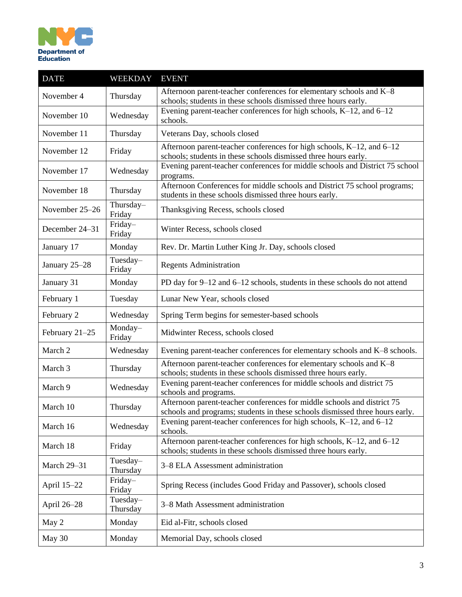

| <b>DATE</b>    | <b>WEEKDAY</b>       | <b>EVENT</b>                                                                                                                                            |
|----------------|----------------------|---------------------------------------------------------------------------------------------------------------------------------------------------------|
| November 4     | Thursday             | Afternoon parent-teacher conferences for elementary schools and K-8<br>schools; students in these schools dismissed three hours early.                  |
| November 10    | Wednesday            | Evening parent-teacher conferences for high schools, K-12, and 6-12<br>schools.                                                                         |
| November 11    | Thursday             | Veterans Day, schools closed                                                                                                                            |
| November 12    | Friday               | Afternoon parent-teacher conferences for high schools, K-12, and 6-12<br>schools; students in these schools dismissed three hours early.                |
| November 17    | Wednesday            | Evening parent-teacher conferences for middle schools and District 75 school<br>programs.                                                               |
| November 18    | Thursday             | Afternoon Conferences for middle schools and District 75 school programs;<br>students in these schools dismissed three hours early.                     |
| November 25-26 | Thursday-<br>Friday  | Thanksgiving Recess, schools closed                                                                                                                     |
| December 24-31 | Friday-<br>Friday    | Winter Recess, schools closed                                                                                                                           |
| January 17     | Monday               | Rev. Dr. Martin Luther King Jr. Day, schools closed                                                                                                     |
| January 25-28  | Tuesday-<br>Friday   | <b>Regents Administration</b>                                                                                                                           |
| January 31     | Monday               | PD day for 9–12 and 6–12 schools, students in these schools do not attend                                                                               |
| February 1     | Tuesday              | Lunar New Year, schools closed                                                                                                                          |
| February 2     | Wednesday            | Spring Term begins for semester-based schools                                                                                                           |
| February 21-25 | Monday-<br>Friday    | Midwinter Recess, schools closed                                                                                                                        |
| March 2        | Wednesday            | Evening parent-teacher conferences for elementary schools and K-8 schools.                                                                              |
| March 3        | Thursday             | Afternoon parent-teacher conferences for elementary schools and K-8<br>schools; students in these schools dismissed three hours early.                  |
| March 9        | Wednesday            | Evening parent-teacher conferences for middle schools and district 75<br>schools and programs.                                                          |
| March 10       | Thursday             | Afternoon parent-teacher conferences for middle schools and district 75<br>schools and programs; students in these schools dismissed three hours early. |
| March 16       | Wednesday            | Evening parent-teacher conferences for high schools, K-12, and 6-12<br>schools.                                                                         |
| March 18       | Friday               | Afternoon parent-teacher conferences for high schools, K-12, and 6-12<br>schools; students in these schools dismissed three hours early.                |
| March 29-31    | Tuesday-<br>Thursday | 3–8 ELA Assessment administration                                                                                                                       |
| April 15-22    | Friday-<br>Friday    | Spring Recess (includes Good Friday and Passover), schools closed                                                                                       |
| April 26–28    | Tuesday-<br>Thursday | 3–8 Math Assessment administration                                                                                                                      |
| May 2          | Monday               | Eid al-Fitr, schools closed                                                                                                                             |
| May 30         | Monday               | Memorial Day, schools closed                                                                                                                            |